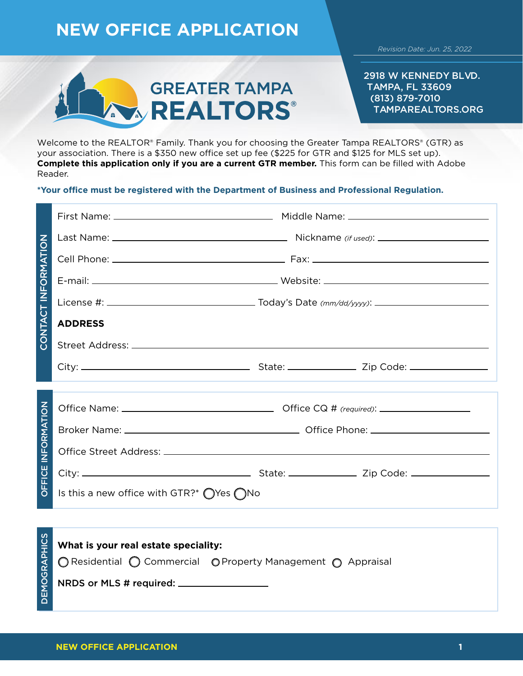## **NEW OFFICE APPLICATION**



2918 W KENNEDY BLVD. TAMPA, FL 33609 (813) 879-7010 TAMPAREALTORS.ORG

Welcome to the REALTOR® Family. Thank you for choosing the Greater Tampa REALTORS® (GTR) as your association. There is a \$350 new office set up fee (\$225 for GTR and \$125 for MLS set up). **Complete this application only if you are a current GTR member.** This form can be filled with Adobe Reader.

## **\*Your office must be registered with the Department of Business and Professional Regulation.**

| CONTACT INFORMATION       |                                                              |  |  |  |
|---------------------------|--------------------------------------------------------------|--|--|--|
|                           |                                                              |  |  |  |
|                           |                                                              |  |  |  |
|                           |                                                              |  |  |  |
|                           | <b>ADDRESS</b>                                               |  |  |  |
|                           |                                                              |  |  |  |
|                           |                                                              |  |  |  |
|                           |                                                              |  |  |  |
| <b>OFFICE INFORMATION</b> |                                                              |  |  |  |
|                           |                                                              |  |  |  |
|                           |                                                              |  |  |  |
|                           |                                                              |  |  |  |
|                           | Is this a new office with GTR?* $\bigcirc$ Yes $\bigcirc$ No |  |  |  |

| <b>SCIHO</b>     | What is your real estate speciality:                                |  |  |
|------------------|---------------------------------------------------------------------|--|--|
|                  | <b>C</b> Residential O Commercial O Property Management O Appraisal |  |  |
| ပ<br><b>DEMO</b> |                                                                     |  |  |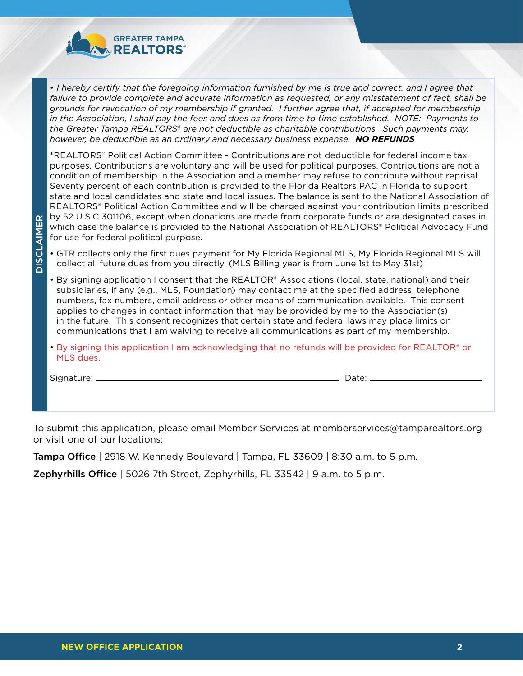

• *I hereby certify that the foregoing information furnished by me is true and correct, and I agree that failure to provide complete and accurate information as requested, or any misstatement of fact, shall be grounds for revocation of my membership if granted. I further agree that, if accepted for membership in the Association, I shall pay the fees and dues as from time to time established. NOTE: Payments to the Greater Tampa REALTORS® are not deductible as charitable contributions. Such payments may, however, be deductible as an ordinary and necessary business expense. NO REFUNDS*

\*REALTORS® Political Action Committee - Contributions are not deductible for federal income tax purposes. Contributions are voluntary and will be used for political purposes. Contributions are not a condition of membership in the Association and a member may refuse to contribute without reprisal. Seventy percent of each contribution is provided to the Florida Realtors PAC in Florida to support state and local candidates and state and local issues. The balance is sent to the National Association of REALTORS® Political Action Committee and will be charged against your contribution limits prescribed by 52 U.S.C 301106, except when donations are made from corporate funds or are designated cases in which case the balance is provided to the National Association of REALTORS® Political Advocacy Fund for use for federal political purpose.

- GTR collects only the first dues payment for My Florida Regional MLS, My Florida Regional MLS will collect all future dues from you directly. (MLS Billing year is from June 1st to May 31st)
- By signing application I consent that the REALTOR® Associations (local, state, national) and their subsidiaries, if any (e.g., MLS, Foundation) may contact me at the specified address, telephone numbers, fax numbers, email address or other means of communication available. This consent applies to changes in contact information that may be provided by me to the Association(s) in the future. This consent recognizes that certain state and federal laws may place limits on communications that I am waiving to receive all communications as part of my membership.
- By signing this application I am acknowledging that no refunds will be provided for REALTOR® or MLS dues.

Signature: Date:

DISCLAIMER

**DISCLAIMER** 

To submit this application, please email Member Services at memberservices@tamparealtors.org or visit one of our locations:

**Tampa Office** | 2918 W. Kennedy Boulevard | Tampa, FL 33609 | 8:30 a.m. to 5 p.m.

Zephyrhills Office | 5026 7th Street, Zephyrhills, FL 33542 | 9 a.m. to 5 p.m.